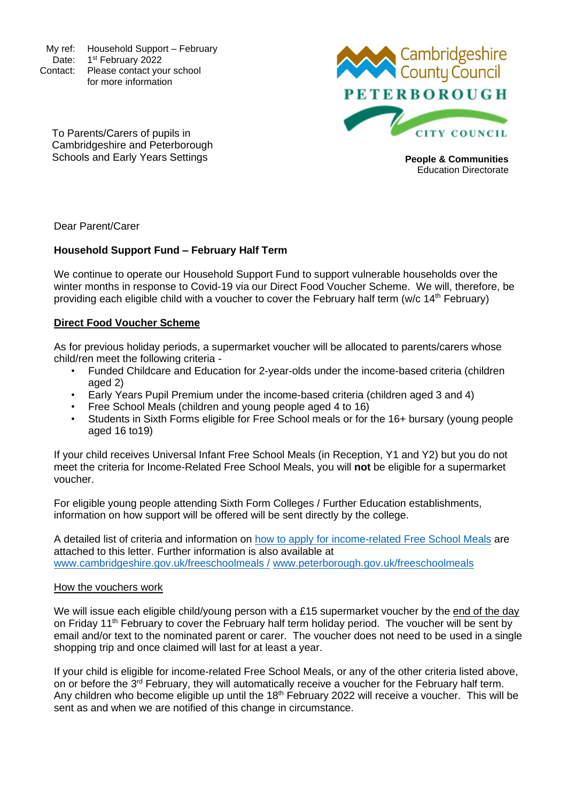My ref: Household Support – February Date: 1<sup>st</sup> February 2022 Contact: Please contact your school for more information



Education Directorate

To Parents/Carers of pupils in Cambridgeshire and Peterborough Schools and Early Years Settings **People & Communities People & Communities** 

Dear Parent/Carer

# **Household Support Fund – February Half Term**

We continue to operate our Household Support Fund to support vulnerable households over the winter months in response to Covid-19 via our Direct Food Voucher Scheme. We will, therefore, be providing each eligible child with a voucher to cover the February half term (w/c 14<sup>th</sup> February)

### **Direct Food Voucher Scheme**

As for previous holiday periods, a supermarket voucher will be allocated to parents/carers whose child/ren meet the following criteria -

- Funded Childcare and Education for 2-year-olds under the income-based criteria (children aged 2)
- Early Years Pupil Premium under the income-based criteria (children aged 3 and 4)
- Free School Meals (children and young people aged 4 to 16)
- Students in Sixth Forms eligible for Free School meals or for the 16+ bursary (young people aged 16 to19)

If your child receives Universal Infant Free School Meals (in Reception, Y1 and Y2) but you do not meet the criteria for Income-Related Free School Meals, you will **not** be eligible for a supermarket voucher.

For eligible young people attending Sixth Form Colleges / Further Education establishments, information on how support will be offered will be sent directly by the college.

A detailed list of criteria and information on [how to apply for income-related Free School Meals](http://www.cambridgeshire.gov.uk/freeschoolmeals/) are attached to this letter. Further information is also available at [www.cambridgeshire.gov.uk/freeschoolmeals](http://www.cambridgeshire.gov.uk/freeschoolmeals%20/) / [www.peterborough.gov.uk/freeschoolmeals](http://www.peterborough.gov.uk/freeschoolmeals)

#### How the vouchers work

We will issue each eligible child/young person with a £15 supermarket voucher by the end of the day on Friday 11<sup>th</sup> February to cover the February half term holiday period. The voucher will be sent by email and/or text to the nominated parent or carer. The voucher does not need to be used in a single shopping trip and once claimed will last for at least a year.

If your child is eligible for income-related Free School Meals, or any of the other criteria listed above, on or before the 3<sup>rd</sup> February, they will automatically receive a voucher for the February half term. Any children who become eligible up until the 18<sup>th</sup> February 2022 will receive a voucher. This will be sent as and when we are notified of this change in circumstance.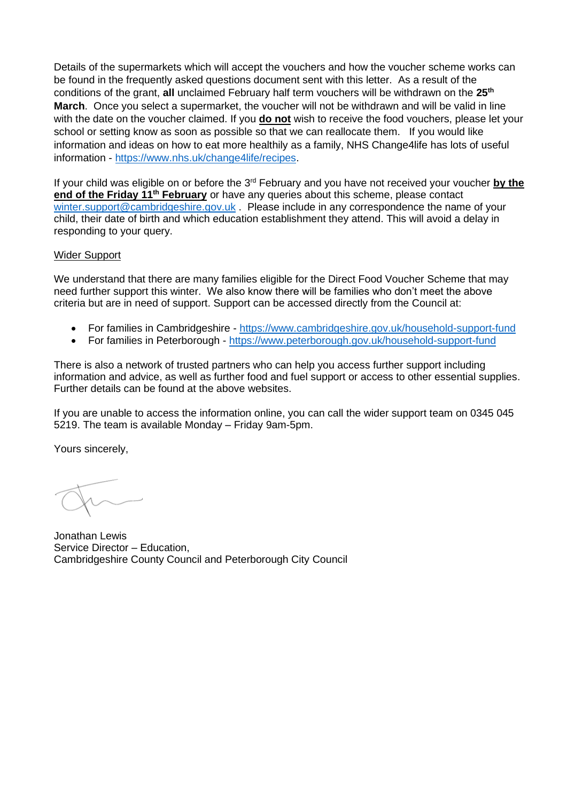Details of the supermarkets which will accept the vouchers and how the voucher scheme works can be found in the frequently asked questions document sent with this letter. As a result of the conditions of the grant, **all** unclaimed February half term vouchers will be withdrawn on the **25th March**. Once you select a supermarket, the voucher will not be withdrawn and will be valid in line with the date on the voucher claimed. If you **do not** wish to receive the food vouchers, please let your school or setting know as soon as possible so that we can reallocate them. If you would like information and ideas on how to eat more healthily as a family, NHS Change4life has lots of useful information - [https://www.nhs.uk/change4life/recipes.](https://www.nhs.uk/change4life/recipes)

If your child was eligible on or before the 3<sup>rd</sup> February and you have not received your voucher by the **end of the Friday 11th February** or have any queries about this scheme, please contact [winter.support@cambridgeshire.gov.uk](mailto:winter.support@cambridgeshire.gov.uk) Please include in any correspondence the name of your child, their date of birth and which education establishment they attend. This will avoid a delay in responding to your query.

### Wider Support

We understand that there are many families eligible for the Direct Food Voucher Scheme that may need further support this winter. We also know there will be families who don't meet the above criteria but are in need of support. Support can be accessed directly from the Council at:

- For families in Cambridgeshire <https://www.cambridgeshire.gov.uk/household-support-fund>
- For families in Peterborough <https://www.peterborough.gov.uk/household-support-fund>

There is also a network of trusted partners who can help you access further support including information and advice, as well as further food and fuel support or access to other essential supplies. Further details can be found at the above websites.

If you are unable to access the information online, you can call the wider support team on 0345 045 5219. The team is available Monday – Friday 9am-5pm.

Yours sincerely,

Jonathan Lewis Service Director – Education, Cambridgeshire County Council and Peterborough City Council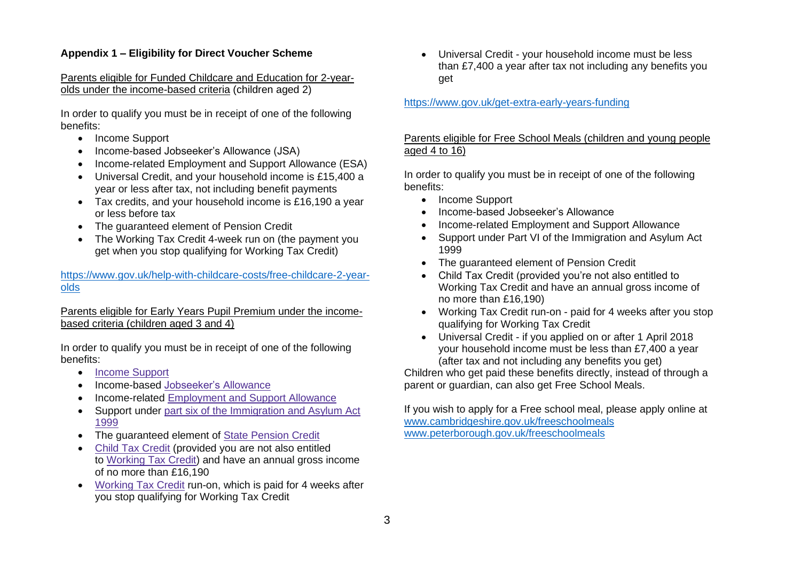# **Appendix 1 – Eligibility for Direct Voucher Scheme**

#### Parents eligible for Funded Childcare and Education for 2-yearolds under the income-based criteria (children aged 2)

In order to qualify you must be in receipt of one of the following benefits:

- Income Support
- Income-based Jobseeker's Allowance (JSA)
- Income-related Employment and Support Allowance (ESA)
- Universal Credit, and your household income is £15,400 a year or less after tax, not including benefit payments
- Tax credits, and your household income is £16,190 a year or less before tax
- The guaranteed element of Pension Credit
- The Working Tax Credit 4-week run on (the payment you get when you stop qualifying for Working Tax Credit)

### [https://www.gov.uk/help-with-childcare-costs/free-childcare-2-year](https://www.gov.uk/help-with-childcare-costs/free-childcare-2-year-olds)[olds](https://www.gov.uk/help-with-childcare-costs/free-childcare-2-year-olds)

### Parents eligible for Early Years Pupil Premium under the incomebased criteria (children aged 3 and 4)

In order to qualify you must be in receipt of one of the following benefits:

- Income [Support](https://www.gov.uk/income-support)
- Income-based [Jobseeker's](https://www.gov.uk/jobseekers-allowance) Allowance
- Income-related [Employment](https://www.gov.uk/employment-support-allowance) and Support Allowance
- Support under part six of the [Immigration](http://www.legislation.gov.uk/ukpga/1999/33/part/VI) and Asylum Act [1999](http://www.legislation.gov.uk/ukpga/1999/33/part/VI)
- The guaranteed element of State [Pension](https://www.gov.uk/pension-credit) Credit
- Child Tax [Credit](https://www.gov.uk/child-tax-credit) (provided you are not also entitled to [Working](https://www.gov.uk/working-tax-credit) Tax Credit) and have an annual gross income of no more than £16,190
- [Working](https://www.gov.uk/working-tax-credit) Tax Credit run-on, which is paid for 4 weeks after you stop qualifying for Working Tax Credit

• Universal Credit - your household income must be less than £7,400 a year after tax not including any benefits you get

## <https://www.gov.uk/get-extra-early-years-funding>

# Parents eligible for Free School Meals (children and young people aged 4 to 16)

In order to qualify you must be in receipt of one of the following benefits:

- Income Support
- Income-based Jobseeker's Allowance
- Income-related Employment and Support Allowance
- Support under Part VI of the Immigration and Asylum Act 1999
- The guaranteed element of Pension Credit
- Child Tax Credit (provided you're not also entitled to Working Tax Credit and have an annual gross income of no more than £16,190)
- Working Tax Credit run-on paid for 4 weeks after you stop qualifying for Working Tax Credit
- Universal Credit if you applied on or after 1 April 2018 your household income must be less than £7,400 a year (after tax and not including any benefits you get)

Children who get paid these benefits directly, instead of through a parent or guardian, can also get Free School Meals.

If you wish to apply for a Free school meal, please apply online at [www.cambridgeshire.gov.uk/freeschoolmeals](http://www.cambridgeshire.gov.uk/freeschoolmeals/) [www.peterborough.gov.uk/freeschoolmeals](http://www.peterborough.gov.uk/freeschoolmeals)